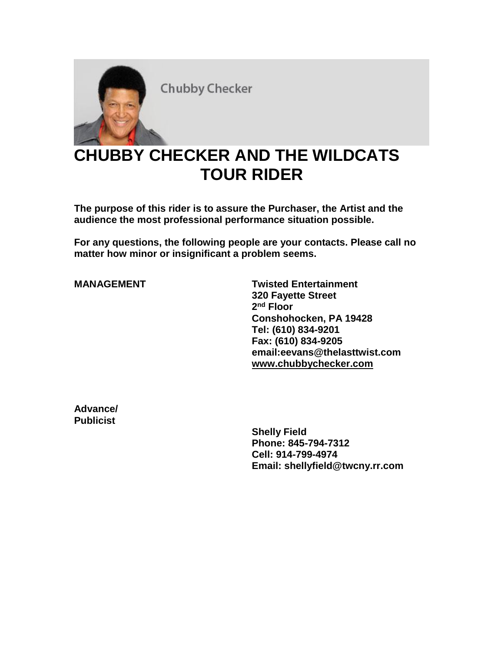

**Chubby Checker** 

## **CHUBBY CHECKER AND THE WILDCATS TOUR RIDER**

**The purpose of this rider is to assure the Purchaser, the Artist and the audience the most professional performance situation possible.**

**For any questions, the following people are your contacts. Please call no matter how minor or insignificant a problem seems.**

**MANAGEMENT Twisted Entertainment 320 Fayette Street 2 nd Floor Conshohocken, PA 19428 Tel: (610) 834-9201 Fax: (610) 834-9205 email:eevans@thelasttwist.com [www.chubbychecker.com](http://www.chubbychecker.com/)**

**Advance/ Publicist**

**Shelly Field Phone: 845-794-7312 Cell: 914-799-4974 Email: [shellyfield@twcny.rr.com](mailto:shellyfield@twcny.rr.com)**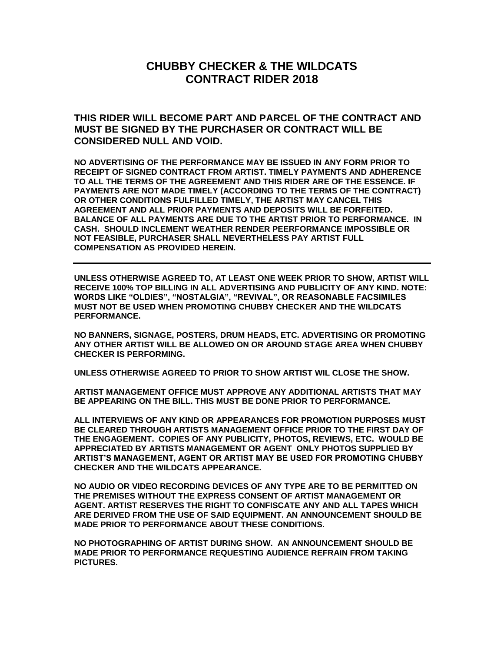## **CHUBBY CHECKER & THE WILDCATS CONTRACT RIDER 2018**

**THIS RIDER WILL BECOME PART AND PARCEL OF THE CONTRACT AND MUST BE SIGNED BY THE PURCHASER OR CONTRACT WILL BE CONSIDERED NULL AND VOID.**

**NO ADVERTISING OF THE PERFORMANCE MAY BE ISSUED IN ANY FORM PRIOR TO RECEIPT OF SIGNED CONTRACT FROM ARTIST. TIMELY PAYMENTS AND ADHERENCE TO ALL THE TERMS OF THE AGREEMENT AND THIS RIDER ARE OF THE ESSENCE. IF PAYMENTS ARE NOT MADE TIMELY (ACCORDING TO THE TERMS OF THE CONTRACT) OR OTHER CONDITIONS FULFILLED TIMELY, THE ARTIST MAY CANCEL THIS AGREEMENT AND ALL PRIOR PAYMENTS AND DEPOSITS WILL BE FORFEITED. BALANCE OF ALL PAYMENTS ARE DUE TO THE ARTIST PRIOR TO PERFORMANCE. IN CASH. SHOULD INCLEMENT WEATHER RENDER PEERFORMANCE IMPOSSIBLE OR NOT FEASIBLE, PURCHASER SHALL NEVERTHELESS PAY ARTIST FULL COMPENSATION AS PROVIDED HEREIN.**

**UNLESS OTHERWISE AGREED TO, AT LEAST ONE WEEK PRIOR TO SHOW, ARTIST WILL RECEIVE 100% TOP BILLING IN ALL ADVERTISING AND PUBLICITY OF ANY KIND. NOTE: WORDS LIKE "OLDIES", "NOSTALGIA", "REVIVAL", OR REASONABLE FACSIMILES MUST NOT BE USED WHEN PROMOTING CHUBBY CHECKER AND THE WILDCATS PERFORMANCE.**

**NO BANNERS, SIGNAGE, POSTERS, DRUM HEADS, ETC. ADVERTISING OR PROMOTING ANY OTHER ARTIST WILL BE ALLOWED ON OR AROUND STAGE AREA WHEN CHUBBY CHECKER IS PERFORMING.** 

**UNLESS OTHERWISE AGREED TO PRIOR TO SHOW ARTIST WIL CLOSE THE SHOW.**

**ARTIST MANAGEMENT OFFICE MUST APPROVE ANY ADDITIONAL ARTISTS THAT MAY BE APPEARING ON THE BILL. THIS MUST BE DONE PRIOR TO PERFORMANCE.**

**ALL INTERVIEWS OF ANY KIND OR APPEARANCES FOR PROMOTION PURPOSES MUST BE CLEARED THROUGH ARTISTS MANAGEMENT OFFICE PRIOR TO THE FIRST DAY OF THE ENGAGEMENT. COPIES OF ANY PUBLICITY, PHOTOS, REVIEWS, ETC. WOULD BE APPRECIATED BY ARTISTS MANAGEMENT OR AGENT ONLY PHOTOS SUPPLIED BY ARTIST'S MANAGEMENT, AGENT OR ARTIST MAY BE USED FOR PROMOTING CHUBBY CHECKER AND THE WILDCATS APPEARANCE.**

**NO AUDIO OR VIDEO RECORDING DEVICES OF ANY TYPE ARE TO BE PERMITTED ON THE PREMISES WITHOUT THE EXPRESS CONSENT OF ARTIST MANAGEMENT OR AGENT. ARTIST RESERVES THE RIGHT TO CONFISCATE ANY AND ALL TAPES WHICH ARE DERIVED FROM THE USE OF SAID EQUIPMENT. AN ANNOUNCEMENT SHOULD BE MADE PRIOR TO PERFORMANCE ABOUT THESE CONDITIONS.** 

**NO PHOTOGRAPHING OF ARTIST DURING SHOW. AN ANNOUNCEMENT SHOULD BE MADE PRIOR TO PERFORMANCE REQUESTING AUDIENCE REFRAIN FROM TAKING PICTURES.**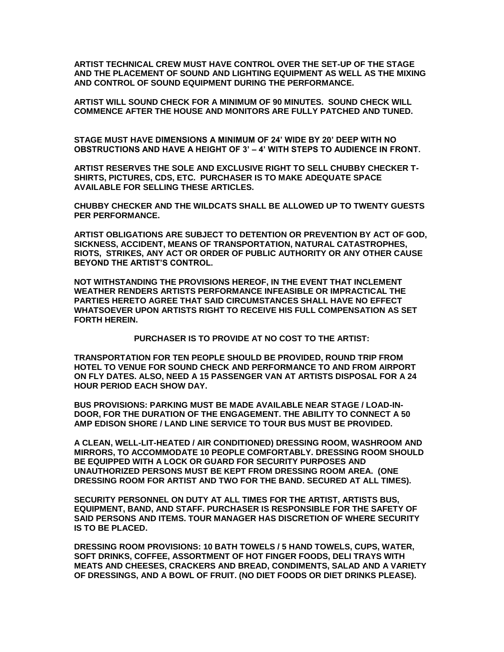**ARTIST TECHNICAL CREW MUST HAVE CONTROL OVER THE SET-UP OF THE STAGE AND THE PLACEMENT OF SOUND AND LIGHTING EQUIPMENT AS WELL AS THE MIXING AND CONTROL OF SOUND EQUIPMENT DURING THE PERFORMANCE.**

**ARTIST WILL SOUND CHECK FOR A MINIMUM OF 90 MINUTES. SOUND CHECK WILL COMMENCE AFTER THE HOUSE AND MONITORS ARE FULLY PATCHED AND TUNED.**

**STAGE MUST HAVE DIMENSIONS A MINIMUM OF 24' WIDE BY 20' DEEP WITH NO OBSTRUCTIONS AND HAVE A HEIGHT OF 3' – 4' WITH STEPS TO AUDIENCE IN FRONT.**

**ARTIST RESERVES THE SOLE AND EXCLUSIVE RIGHT TO SELL CHUBBY CHECKER T-SHIRTS, PICTURES, CDS, ETC. PURCHASER IS TO MAKE ADEQUATE SPACE AVAILABLE FOR SELLING THESE ARTICLES.**

**CHUBBY CHECKER AND THE WILDCATS SHALL BE ALLOWED UP TO TWENTY GUESTS PER PERFORMANCE.**

**ARTIST OBLIGATIONS ARE SUBJECT TO DETENTION OR PREVENTION BY ACT OF GOD, SICKNESS, ACCIDENT, MEANS OF TRANSPORTATION, NATURAL CATASTROPHES, RIOTS, STRIKES, ANY ACT OR ORDER OF PUBLIC AUTHORITY OR ANY OTHER CAUSE BEYOND THE ARTIST'S CONTROL.** 

**NOT WITHSTANDING THE PROVISIONS HEREOF, IN THE EVENT THAT INCLEMENT WEATHER RENDERS ARTISTS PERFORMANCE INFEASIBLE OR IMPRACTICAL THE PARTIES HERETO AGREE THAT SAID CIRCUMSTANCES SHALL HAVE NO EFFECT WHATSOEVER UPON ARTISTS RIGHT TO RECEIVE HIS FULL COMPENSATION AS SET FORTH HEREIN.**

**PURCHASER IS TO PROVIDE AT NO COST TO THE ARTIST:**

**TRANSPORTATION FOR TEN PEOPLE SHOULD BE PROVIDED, ROUND TRIP FROM HOTEL TO VENUE FOR SOUND CHECK AND PERFORMANCE TO AND FROM AIRPORT ON FLY DATES. ALSO, NEED A 15 PASSENGER VAN AT ARTISTS DISPOSAL FOR A 24 HOUR PERIOD EACH SHOW DAY.**

**BUS PROVISIONS: PARKING MUST BE MADE AVAILABLE NEAR STAGE / LOAD-IN-DOOR, FOR THE DURATION OF THE ENGAGEMENT. THE ABILITY TO CONNECT A 50 AMP EDISON SHORE / LAND LINE SERVICE TO TOUR BUS MUST BE PROVIDED.**

**A CLEAN, WELL-LIT-HEATED / AIR CONDITIONED) DRESSING ROOM, WASHROOM AND MIRRORS, TO ACCOMMODATE 10 PEOPLE COMFORTABLY. DRESSING ROOM SHOULD BE EQUIPPED WITH A LOCK OR GUARD FOR SECURITY PURPOSES AND UNAUTHORIZED PERSONS MUST BE KEPT FROM DRESSING ROOM AREA. (ONE DRESSING ROOM FOR ARTIST AND TWO FOR THE BAND. SECURED AT ALL TIMES).**

**SECURITY PERSONNEL ON DUTY AT ALL TIMES FOR THE ARTIST, ARTISTS BUS, EQUIPMENT, BAND, AND STAFF. PURCHASER IS RESPONSIBLE FOR THE SAFETY OF SAID PERSONS AND ITEMS. TOUR MANAGER HAS DISCRETION OF WHERE SECURITY IS TO BE PLACED.**

**DRESSING ROOM PROVISIONS: 10 BATH TOWELS / 5 HAND TOWELS, CUPS, WATER, SOFT DRINKS, COFFEE, ASSORTMENT OF HOT FINGER FOODS, DELI TRAYS WITH MEATS AND CHEESES, CRACKERS AND BREAD, CONDIMENTS, SALAD AND A VARIETY OF DRESSINGS, AND A BOWL OF FRUIT. (NO DIET FOODS OR DIET DRINKS PLEASE).**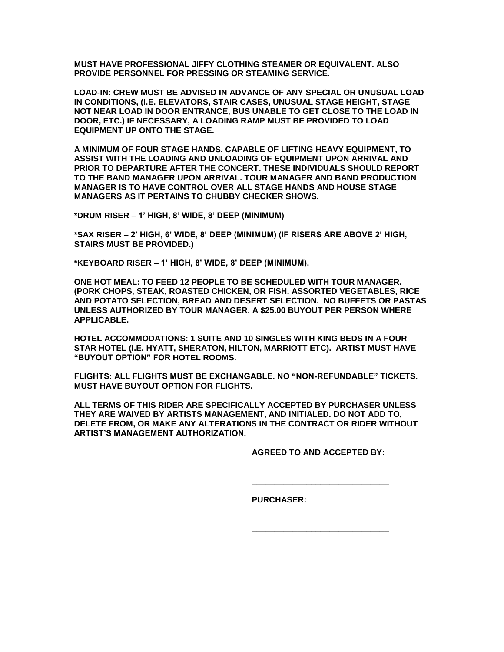**MUST HAVE PROFESSIONAL JIFFY CLOTHING STEAMER OR EQUIVALENT. ALSO PROVIDE PERSONNEL FOR PRESSING OR STEAMING SERVICE.** 

**LOAD-IN: CREW MUST BE ADVISED IN ADVANCE OF ANY SPECIAL OR UNUSUAL LOAD IN CONDITIONS, (I.E. ELEVATORS, STAIR CASES, UNUSUAL STAGE HEIGHT, STAGE NOT NEAR LOAD IN DOOR ENTRANCE, BUS UNABLE TO GET CLOSE TO THE LOAD IN DOOR, ETC.) IF NECESSARY, A LOADING RAMP MUST BE PROVIDED TO LOAD EQUIPMENT UP ONTO THE STAGE.**

**A MINIMUM OF FOUR STAGE HANDS, CAPABLE OF LIFTING HEAVY EQUIPMENT, TO ASSIST WITH THE LOADING AND UNLOADING OF EQUIPMENT UPON ARRIVAL AND PRIOR TO DEPARTURE AFTER THE CONCERT. THESE INDIVIDUALS SHOULD REPORT TO THE BAND MANAGER UPON ARRIVAL. TOUR MANAGER AND BAND PRODUCTION MANAGER IS TO HAVE CONTROL OVER ALL STAGE HANDS AND HOUSE STAGE MANAGERS AS IT PERTAINS TO CHUBBY CHECKER SHOWS.**

**\*DRUM RISER – 1' HIGH, 8' WIDE, 8' DEEP (MINIMUM)**

**\*SAX RISER – 2' HIGH, 6' WIDE, 8' DEEP (MINIMUM) (IF RISERS ARE ABOVE 2' HIGH, STAIRS MUST BE PROVIDED.)**

**\*KEYBOARD RISER – 1' HIGH, 8' WIDE, 8' DEEP (MINIMUM).**

**ONE HOT MEAL: TO FEED 12 PEOPLE TO BE SCHEDULED WITH TOUR MANAGER. (PORK CHOPS, STEAK, ROASTED CHICKEN, OR FISH. ASSORTED VEGETABLES, RICE AND POTATO SELECTION, BREAD AND DESERT SELECTION. NO BUFFETS OR PASTAS UNLESS AUTHORIZED BY TOUR MANAGER. A \$25.00 BUYOUT PER PERSON WHERE APPLICABLE.**

**HOTEL ACCOMMODATIONS: 1 SUITE AND 10 SINGLES WITH KING BEDS IN A FOUR STAR HOTEL (I.E. HYATT, SHERATON, HILTON, MARRIOTT ETC). ARTIST MUST HAVE "BUYOUT OPTION" FOR HOTEL ROOMS.**

**FLIGHTS: ALL FLIGHTS MUST BE EXCHANGABLE. NO "NON-REFUNDABLE" TICKETS. MUST HAVE BUYOUT OPTION FOR FLIGHTS.**

**ALL TERMS OF THIS RIDER ARE SPECIFICALLY ACCEPTED BY PURCHASER UNLESS THEY ARE WAIVED BY ARTISTS MANAGEMENT, AND INITIALED. DO NOT ADD TO, DELETE FROM, OR MAKE ANY ALTERATIONS IN THE CONTRACT OR RIDER WITHOUT ARTIST'S MANAGEMENT AUTHORIZATION.**

**AGREED TO AND ACCEPTED BY:**

**\_\_\_\_\_\_\_\_\_\_\_\_\_\_\_\_\_\_\_\_\_\_\_\_\_\_\_\_\_\_**

**\_\_\_\_\_\_\_\_\_\_\_\_\_\_\_\_\_\_\_\_\_\_\_\_\_\_\_\_\_\_**

**PURCHASER:**